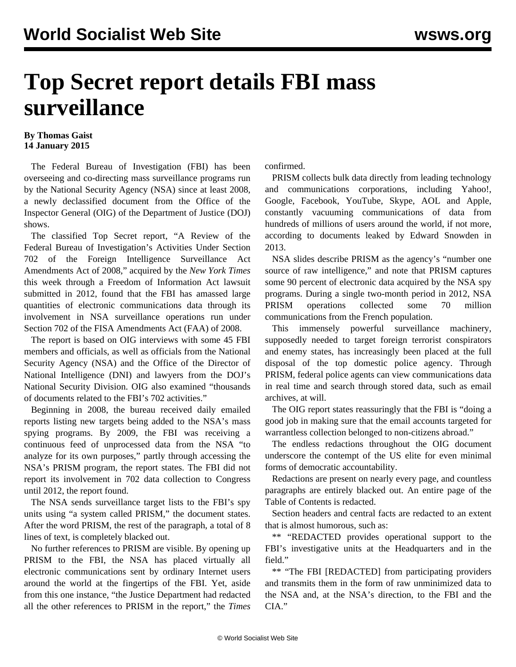## **Top Secret report details FBI mass surveillance**

## **By Thomas Gaist 14 January 2015**

 The Federal Bureau of Investigation (FBI) has been overseeing and co-directing mass surveillance programs run by the National Security Agency (NSA) since at least 2008, a newly declassified document from the Office of the Inspector General (OIG) of the Department of Justice (DOJ) shows.

 The classified Top Secret report, "A Review of the Federal Bureau of Investigation's Activities Under Section 702 of the Foreign Intelligence Surveillance Act Amendments Act of 2008," acquired by the *New York Times* this week through a Freedom of Information Act lawsuit submitted in 2012, found that the FBI has amassed large quantities of electronic communications data through its involvement in NSA surveillance operations run under Section 702 of the FISA Amendments Act (FAA) of 2008.

 The report is based on OIG interviews with some 45 FBI members and officials, as well as officials from the National Security Agency (NSA) and the Office of the Director of National Intelligence (DNI) and lawyers from the DOJ's National Security Division. OIG also examined "thousands of documents related to the FBI's 702 activities."

 Beginning in 2008, the bureau received daily emailed reports listing new targets being added to the NSA's mass spying programs. By 2009, the FBI was receiving a continuous feed of unprocessed data from the NSA "to analyze for its own purposes," partly through accessing the NSA's PRISM program, the report states. The FBI did not report its involvement in 702 data collection to Congress until 2012, the report found.

 The NSA sends surveillance target lists to the FBI's spy units using "a system called PRISM," the document states. After the word PRISM, the rest of the paragraph, a total of 8 lines of text, is completely blacked out.

 No further references to PRISM are visible. By opening up PRISM to the FBI, the NSA has placed virtually all electronic communications sent by ordinary Internet users around the world at the fingertips of the FBI. Yet, aside from this one instance, "the Justice Department had redacted all the other references to PRISM in the report," the *Times* confirmed.

 PRISM collects bulk data directly from leading technology and communications corporations, including Yahoo!, Google, Facebook, YouTube, Skype, AOL and Apple, constantly vacuuming communications of data from hundreds of millions of users around the world, if not more, according to documents leaked by Edward Snowden in 2013.

 NSA slides describe PRISM as the agency's "number one source of raw intelligence," and note that PRISM captures some 90 percent of electronic data acquired by the NSA spy programs. During a single two-month period in 2012, NSA PRISM operations collected some 70 million communications from the French population.

 This immensely powerful surveillance machinery, supposedly needed to target foreign terrorist conspirators and enemy states, has increasingly been placed at the full disposal of the top domestic police agency. Through PRISM, federal police agents can view communications data in real time and search through stored data, such as email archives, at will.

 The OIG report states reassuringly that the FBI is "doing a good job in making sure that the email accounts targeted for warrantless collection belonged to non-citizens abroad."

 The endless redactions throughout the OIG document underscore the contempt of the US elite for even minimal forms of democratic accountability.

 Redactions are present on nearly every page, and countless paragraphs are entirely blacked out. An entire page of the Table of Contents is redacted.

 Section headers and central facts are redacted to an extent that is almost humorous, such as:

 \*\* "REDACTED provides operational support to the FBI's investigative units at the Headquarters and in the field."

 \*\* "The FBI [REDACTED] from participating providers and transmits them in the form of raw unminimized data to the NSA and, at the NSA's direction, to the FBI and the CIA."